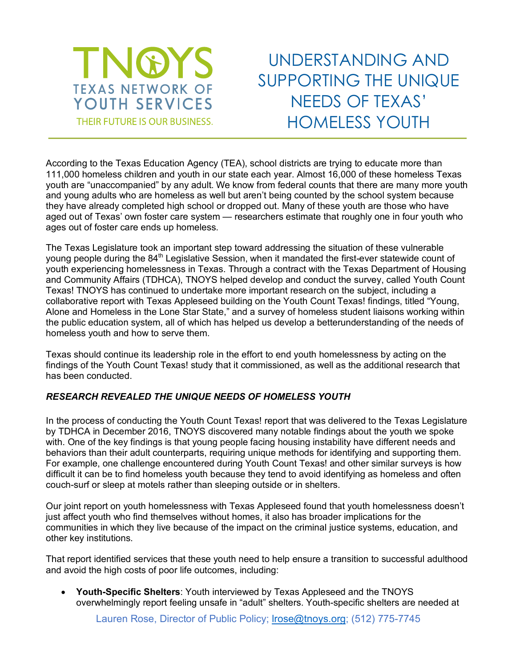

UNDERSTANDING AND SUPPORTING THE UNIQUE NEEDS OF TEXAS' HOMELESS YOUTH

According to the Texas Education Agency (TEA), school districts are trying to educate more than 111,000 homeless children and youth in our state each year. Almost 16,000 of these homeless Texas youth are "unaccompanied" by any adult. We know from federal counts that there are many more youth and young adults who are homeless as well but aren't being counted by the school system because they have already completed high school or dropped out. Many of these youth are those who have aged out of Texas' own foster care system — researchers estimate that roughly one in four youth who ages out of foster care ends up homeless.

The Texas Legislature took an important step toward addressing the situation of these vulnerable young people during the 84<sup>th</sup> Legislative Session, when it mandated the first-ever statewide count of youth experiencing homelessness in Texas. Through a contract with the Texas Department of Housing and Community Affairs (TDHCA), TNOYS helped develop and conduct the survey, called Youth Count Texas! TNOYS has continued to undertake more important research on the subject, including a collaborative report with Texas Appleseed building on the Youth Count Texas! findings, titled "Young, Alone and Homeless in the Lone Star State," and a survey of homeless student liaisons working within the public education system, all of which has helped us develop a betterunderstanding of the needs of homeless youth and how to serve them.

Texas should continue its leadership role in the effort to end youth homelessness by acting on the findings of the Youth Count Texas! study that it commissioned, as well as the additional research that has been conducted.

## *RESEARCH REVEALED THE UNIQUE NEEDS OF HOMELESS YOUTH*

In the process of conducting the Youth Count Texas! report that was delivered to the Texas Legislature by TDHCA in December 2016, TNOYS discovered many notable findings about the youth we spoke with. One of the key findings is that young people facing housing instability have different needs and behaviors than their adult counterparts, requiring unique methods for identifying and supporting them. For example, one challenge encountered during Youth Count Texas! and other similar surveys is how difficult it can be to find homeless youth because they tend to avoid identifying as homeless and often couch-surf or sleep at motels rather than sleeping outside or in shelters.

Our joint report on youth homelessness with Texas Appleseed found that youth homelessness doesn't just affect youth who find themselves without homes, it also has broader implications for the communities in which they live because of the impact on the criminal justice systems, education, and other key institutions.

That report identified services that these youth need to help ensure a transition to successful adulthood and avoid the high costs of poor life outcomes, including:

• **Youth-Specific Shelters**: Youth interviewed by Texas Appleseed and the TNOYS overwhelmingly report feeling unsafe in "adult" shelters. Youth-specific shelters are needed at

Lauren Rose, Director of Public Policy; lrose@tnoys.org; (512) 775-7745